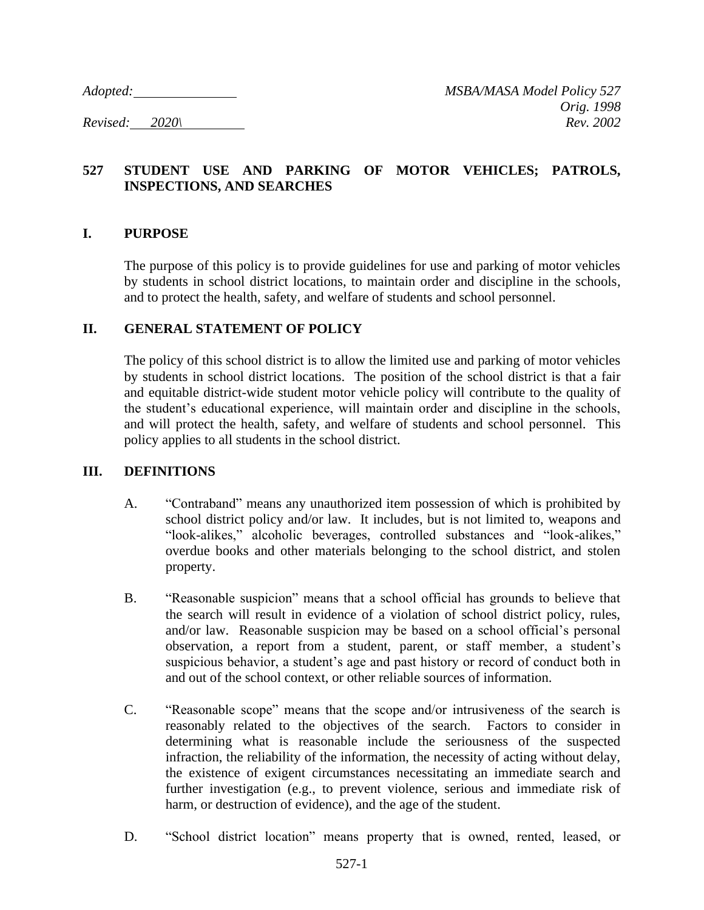### **527 STUDENT USE AND PARKING OF MOTOR VEHICLES; PATROLS, INSPECTIONS, AND SEARCHES**

#### **I. PURPOSE**

The purpose of this policy is to provide guidelines for use and parking of motor vehicles by students in school district locations, to maintain order and discipline in the schools, and to protect the health, safety, and welfare of students and school personnel.

#### **II. GENERAL STATEMENT OF POLICY**

The policy of this school district is to allow the limited use and parking of motor vehicles by students in school district locations. The position of the school district is that a fair and equitable district-wide student motor vehicle policy will contribute to the quality of the student's educational experience, will maintain order and discipline in the schools, and will protect the health, safety, and welfare of students and school personnel. This policy applies to all students in the school district.

#### **III. DEFINITIONS**

- A. "Contraband" means any unauthorized item possession of which is prohibited by school district policy and/or law. It includes, but is not limited to, weapons and "look-alikes," alcoholic beverages, controlled substances and "look-alikes," overdue books and other materials belonging to the school district, and stolen property.
- B. "Reasonable suspicion" means that a school official has grounds to believe that the search will result in evidence of a violation of school district policy, rules, and/or law. Reasonable suspicion may be based on a school official's personal observation, a report from a student, parent, or staff member, a student's suspicious behavior, a student's age and past history or record of conduct both in and out of the school context, or other reliable sources of information.
- C. "Reasonable scope" means that the scope and/or intrusiveness of the search is reasonably related to the objectives of the search. Factors to consider in determining what is reasonable include the seriousness of the suspected infraction, the reliability of the information, the necessity of acting without delay, the existence of exigent circumstances necessitating an immediate search and further investigation (e.g., to prevent violence, serious and immediate risk of harm, or destruction of evidence), and the age of the student.
- D. "School district location" means property that is owned, rented, leased, or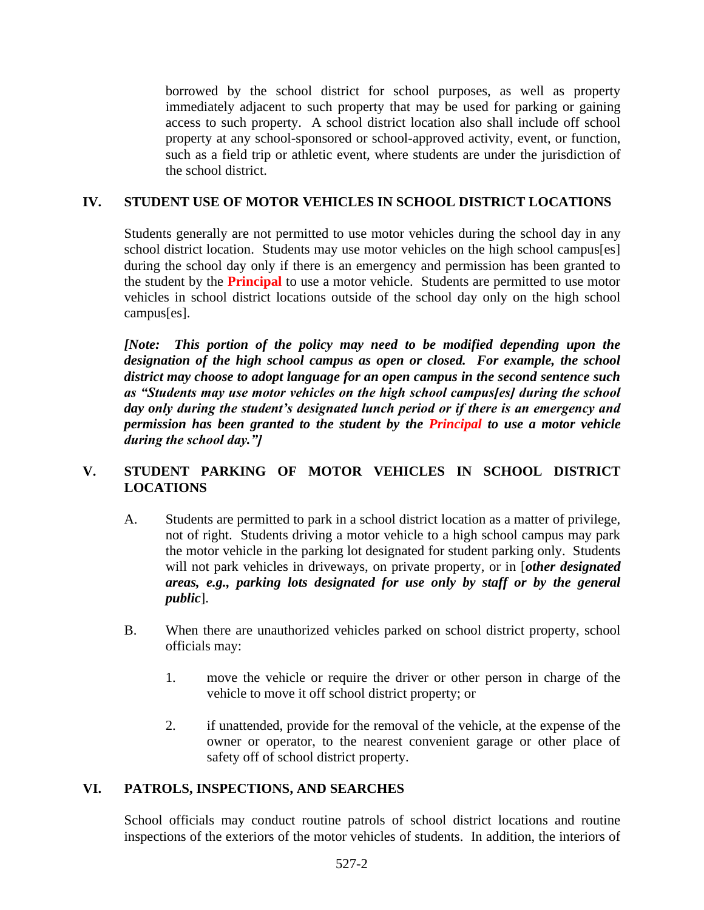borrowed by the school district for school purposes, as well as property immediately adjacent to such property that may be used for parking or gaining access to such property. A school district location also shall include off school property at any school-sponsored or school-approved activity, event, or function, such as a field trip or athletic event, where students are under the jurisdiction of the school district.

# **IV. STUDENT USE OF MOTOR VEHICLES IN SCHOOL DISTRICT LOCATIONS**

Students generally are not permitted to use motor vehicles during the school day in any school district location. Students may use motor vehicles on the high school campus[es] during the school day only if there is an emergency and permission has been granted to the student by the **Principal** to use a motor vehicle. Students are permitted to use motor vehicles in school district locations outside of the school day only on the high school campus[es].

*[Note: This portion of the policy may need to be modified depending upon the designation of the high school campus as open or closed. For example, the school district may choose to adopt language for an open campus in the second sentence such as "Students may use motor vehicles on the high school campus[es] during the school day only during the student's designated lunch period or if there is an emergency and permission has been granted to the student by the Principal to use a motor vehicle during the school day."]*

# **V. STUDENT PARKING OF MOTOR VEHICLES IN SCHOOL DISTRICT LOCATIONS**

- A. Students are permitted to park in a school district location as a matter of privilege, not of right. Students driving a motor vehicle to a high school campus may park the motor vehicle in the parking lot designated for student parking only. Students will not park vehicles in driveways, on private property, or in [*other designated areas, e.g., parking lots designated for use only by staff or by the general public*].
- B. When there are unauthorized vehicles parked on school district property, school officials may:
	- 1. move the vehicle or require the driver or other person in charge of the vehicle to move it off school district property; or
	- 2. if unattended, provide for the removal of the vehicle, at the expense of the owner or operator, to the nearest convenient garage or other place of safety off of school district property.

# **VI. PATROLS, INSPECTIONS, AND SEARCHES**

School officials may conduct routine patrols of school district locations and routine inspections of the exteriors of the motor vehicles of students. In addition, the interiors of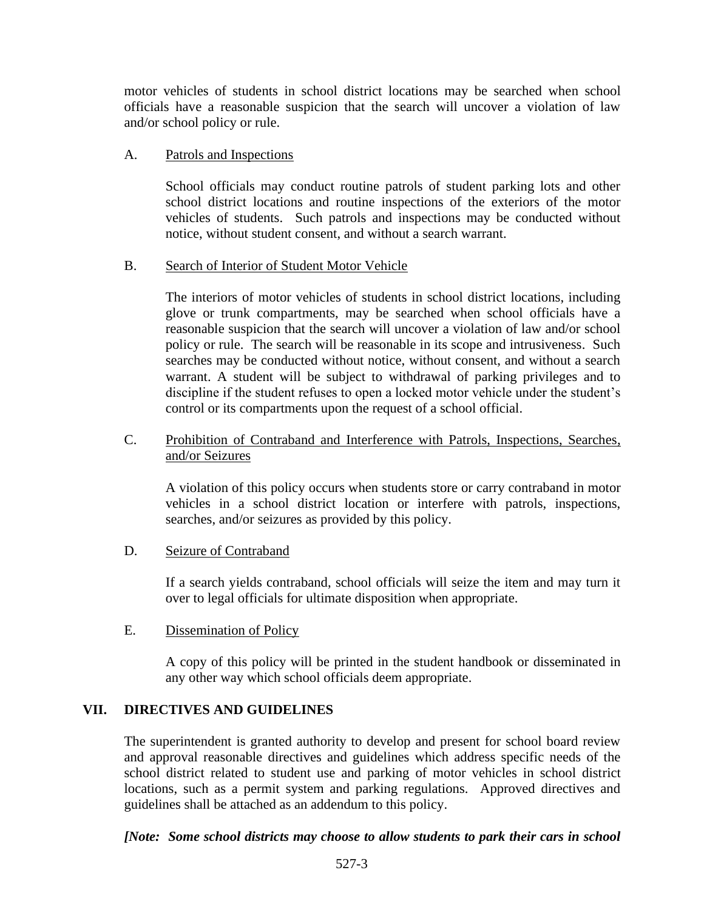motor vehicles of students in school district locations may be searched when school officials have a reasonable suspicion that the search will uncover a violation of law and/or school policy or rule.

### A. Patrols and Inspections

School officials may conduct routine patrols of student parking lots and other school district locations and routine inspections of the exteriors of the motor vehicles of students. Such patrols and inspections may be conducted without notice, without student consent, and without a search warrant.

### B. Search of Interior of Student Motor Vehicle

The interiors of motor vehicles of students in school district locations, including glove or trunk compartments, may be searched when school officials have a reasonable suspicion that the search will uncover a violation of law and/or school policy or rule. The search will be reasonable in its scope and intrusiveness. Such searches may be conducted without notice, without consent, and without a search warrant. A student will be subject to withdrawal of parking privileges and to discipline if the student refuses to open a locked motor vehicle under the student's control or its compartments upon the request of a school official.

### C. Prohibition of Contraband and Interference with Patrols, Inspections, Searches, and/or Seizures

A violation of this policy occurs when students store or carry contraband in motor vehicles in a school district location or interfere with patrols, inspections, searches, and/or seizures as provided by this policy.

#### D. Seizure of Contraband

If a search yields contraband, school officials will seize the item and may turn it over to legal officials for ultimate disposition when appropriate.

# E. Dissemination of Policy

A copy of this policy will be printed in the student handbook or disseminated in any other way which school officials deem appropriate.

# **VII. DIRECTIVES AND GUIDELINES**

The superintendent is granted authority to develop and present for school board review and approval reasonable directives and guidelines which address specific needs of the school district related to student use and parking of motor vehicles in school district locations, such as a permit system and parking regulations. Approved directives and guidelines shall be attached as an addendum to this policy.

# *[Note: Some school districts may choose to allow students to park their cars in school*